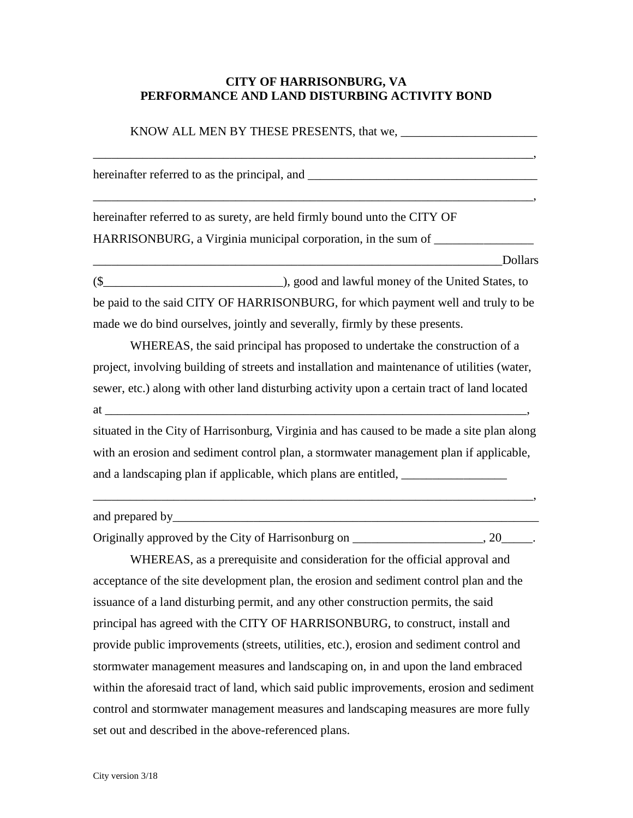## **CITY OF HARRISONBURG, VA PERFORMANCE AND LAND DISTURBING ACTIVITY BOND**

\_\_\_\_\_\_\_\_\_\_\_\_\_\_\_\_\_\_\_\_\_\_\_\_\_\_\_\_\_\_\_\_\_\_\_\_\_\_\_\_\_\_\_\_\_\_\_\_\_\_\_\_\_\_\_\_\_\_\_\_\_\_\_\_\_\_\_\_\_\_\_,

\_\_\_\_\_\_\_\_\_\_\_\_\_\_\_\_\_\_\_\_\_\_\_\_\_\_\_\_\_\_\_\_\_\_\_\_\_\_\_\_\_\_\_\_\_\_\_\_\_\_\_\_\_\_\_\_\_\_\_\_\_\_\_\_\_\_\_\_\_\_\_,

hereinafter referred to as the principal, and \_\_\_\_\_\_\_\_\_\_\_\_\_\_\_\_\_\_\_\_\_\_\_\_\_\_\_\_\_\_\_\_\_\_

hereinafter referred to as surety, are held firmly bound unto the CITY OF HARRISONBURG, a Virginia municipal corporation, in the sum of

(\$\_\_\_\_\_\_\_\_\_\_\_\_\_\_\_\_\_\_\_\_\_\_\_\_\_\_\_\_\_), good and lawful money of the United States, to be paid to the said CITY OF HARRISONBURG, for which payment well and truly to be made we do bind ourselves, jointly and severally, firmly by these presents.

\_\_\_\_\_\_\_\_\_\_\_\_\_\_\_\_\_\_\_\_\_\_\_\_\_\_\_\_\_\_\_\_\_\_\_\_\_\_\_\_\_\_\_\_\_\_\_\_\_\_\_\_\_\_\_\_\_\_\_\_\_\_\_\_\_\_Dollars

WHEREAS, the said principal has proposed to undertake the construction of a project, involving building of streets and installation and maintenance of utilities (water, sewer, etc.) along with other land disturbing activity upon a certain tract of land located  $at$   $\cdots$ 

situated in the City of Harrisonburg, Virginia and has caused to be made a site plan along with an erosion and sediment control plan, a stormwater management plan if applicable, and a landscaping plan if applicable, which plans are entitled, \_\_\_\_\_\_\_\_\_\_\_\_\_\_\_\_\_

| and prepared by |  |  |  |
|-----------------|--|--|--|
|                 |  |  |  |

\_\_\_\_\_\_\_\_\_\_\_\_\_\_\_\_\_\_\_\_\_\_\_\_\_\_\_\_\_\_\_\_\_\_\_\_\_\_\_\_\_\_\_\_\_\_\_\_\_\_\_\_\_\_\_\_\_\_\_\_\_\_\_\_\_\_\_\_\_\_\_,

Originally approved by the City of Harrisonburg on \_\_\_\_\_\_\_\_\_\_\_\_\_\_\_\_\_, 20\_\_\_\_\_.

WHEREAS, as a prerequisite and consideration for the official approval and acceptance of the site development plan, the erosion and sediment control plan and the issuance of a land disturbing permit, and any other construction permits, the said principal has agreed with the CITY OF HARRISONBURG, to construct, install and provide public improvements (streets, utilities, etc.), erosion and sediment control and stormwater management measures and landscaping on, in and upon the land embraced within the aforesaid tract of land, which said public improvements, erosion and sediment control and stormwater management measures and landscaping measures are more fully set out and described in the above-referenced plans.